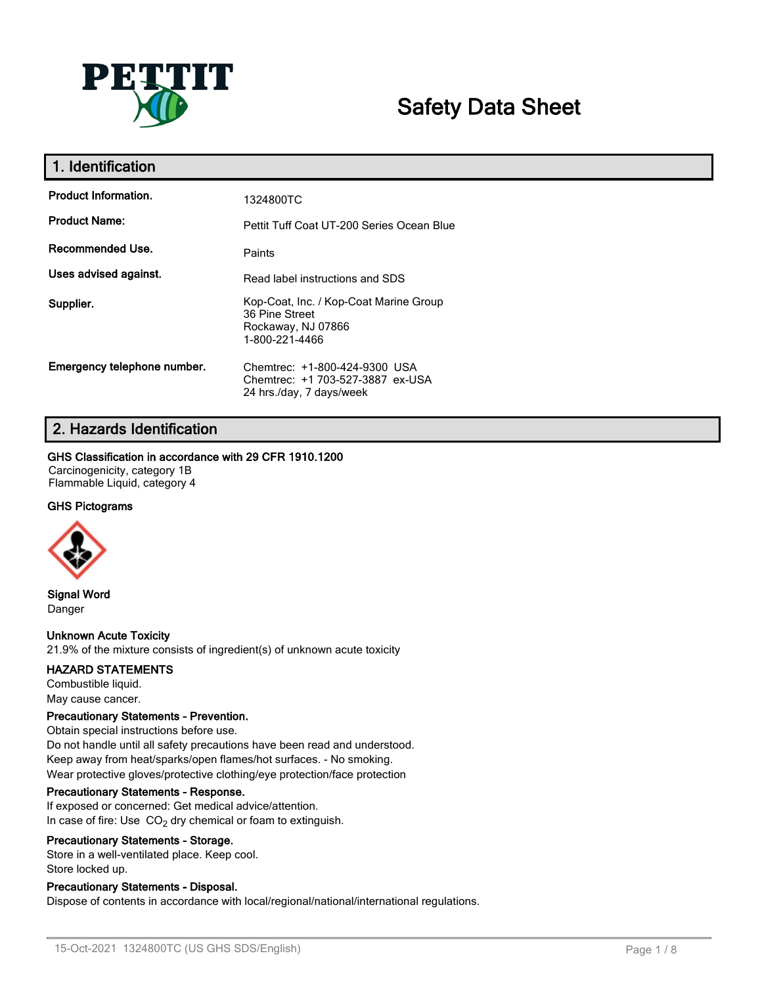

# **Safety Data Sheet**

| 1. Identification           |                                                                                                  |
|-----------------------------|--------------------------------------------------------------------------------------------------|
| <b>Product Information.</b> | 1324800TC                                                                                        |
| <b>Product Name:</b>        | Pettit Tuff Coat UT-200 Series Ocean Blue                                                        |
| Recommended Use.            | Paints                                                                                           |
| Uses advised against.       | Read label instructions and SDS                                                                  |
| Supplier.                   | Kop-Coat, Inc. / Kop-Coat Marine Group<br>36 Pine Street<br>Rockaway, NJ 07866<br>1-800-221-4466 |
| Emergency telephone number. | Chemtrec: +1-800-424-9300 USA<br>Chemtrec: +1 703-527-3887 ex-USA<br>24 hrs./day, 7 days/week    |

# **2. Hazards Identification**

# **GHS Classification in accordance with 29 CFR 1910.1200**

Carcinogenicity, category 1B Flammable Liquid, category 4

# **GHS Pictograms**



**Signal Word** Danger

# **Unknown Acute Toxicity**

21.9% of the mixture consists of ingredient(s) of unknown acute toxicity

#### **HAZARD STATEMENTS**

Combustible liquid. May cause cancer.

#### **Precautionary Statements - Prevention.**

Obtain special instructions before use. Do not handle until all safety precautions have been read and understood. Keep away from heat/sparks/open flames/hot surfaces. - No smoking. Wear protective gloves/protective clothing/eye protection/face protection

#### **Precautionary Statements - Response.**

If exposed or concerned: Get medical advice/attention. In case of fire: Use  $CO<sub>2</sub>$  dry chemical or foam to extinguish.

#### **Precautionary Statements - Storage.**

Store in a well-ventilated place. Keep cool. Store locked up.

# **Precautionary Statements - Disposal.**

Dispose of contents in accordance with local/regional/national/international regulations.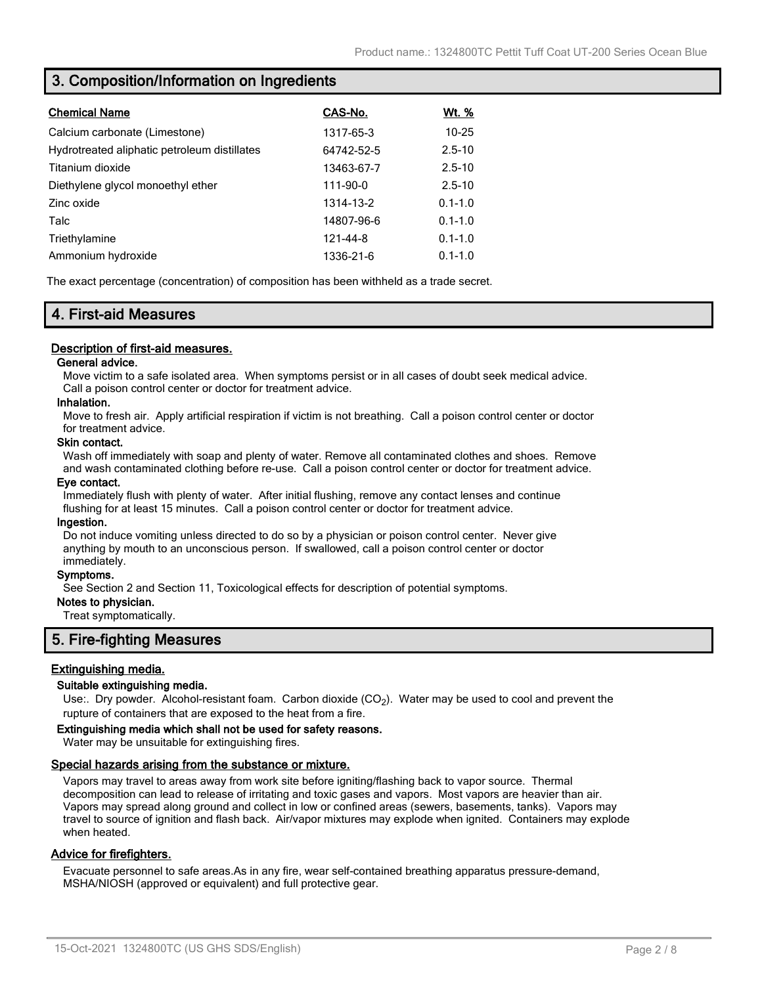# **3. Composition/Information on Ingredients**

| <b>Chemical Name</b>                         | CAS-No.    | Wt. %       |
|----------------------------------------------|------------|-------------|
| Calcium carbonate (Limestone)                | 1317-65-3  | $10 - 25$   |
| Hydrotreated aliphatic petroleum distillates | 64742-52-5 | $2.5 - 10$  |
| Titanium dioxide                             | 13463-67-7 | $2.5 - 10$  |
| Diethylene glycol monoethyl ether            | 111-90-0   | $2.5 - 10$  |
| Zinc oxide                                   | 1314-13-2  | $0.1 - 1.0$ |
| Talc                                         | 14807-96-6 | $0.1 - 1.0$ |
| Triethylamine                                | 121-44-8   | $0.1 - 1.0$ |
| Ammonium hydroxide                           | 1336-21-6  | $0.1 - 1.0$ |

The exact percentage (concentration) of composition has been withheld as a trade secret.

# **4. First-aid Measures**

### **Description of first-aid measures.**

#### **General advice.**

Move victim to a safe isolated area. When symptoms persist or in all cases of doubt seek medical advice. Call a poison control center or doctor for treatment advice.

### **Inhalation.**

Move to fresh air. Apply artificial respiration if victim is not breathing. Call a poison control center or doctor for treatment advice.

#### **Skin contact.**

Wash off immediately with soap and plenty of water. Remove all contaminated clothes and shoes. Remove and wash contaminated clothing before re-use. Call a poison control center or doctor for treatment advice.

#### **Eye contact.**

Immediately flush with plenty of water. After initial flushing, remove any contact lenses and continue flushing for at least 15 minutes. Call a poison control center or doctor for treatment advice.

#### **Ingestion.**

Do not induce vomiting unless directed to do so by a physician or poison control center. Never give anything by mouth to an unconscious person. If swallowed, call a poison control center or doctor immediately.

#### **Symptoms.**

See Section 2 and Section 11, Toxicological effects for description of potential symptoms.

### **Notes to physician.**

Treat symptomatically.

# **5. Fire-fighting Measures**

#### **Extinguishing media.**

#### **Suitable extinguishing media.**

Use:. Dry powder. Alcohol-resistant foam. Carbon dioxide (CO<sub>2</sub>). Water may be used to cool and prevent the rupture of containers that are exposed to the heat from a fire.

#### **Extinguishing media which shall not be used for safety reasons.**

Water may be unsuitable for extinguishing fires.

#### **Special hazards arising from the substance or mixture.**

Vapors may travel to areas away from work site before igniting/flashing back to vapor source. Thermal decomposition can lead to release of irritating and toxic gases and vapors. Most vapors are heavier than air. Vapors may spread along ground and collect in low or confined areas (sewers, basements, tanks). Vapors may travel to source of ignition and flash back. Air/vapor mixtures may explode when ignited. Containers may explode when heated.

#### **Advice for firefighters.**

Evacuate personnel to safe areas.As in any fire, wear self-contained breathing apparatus pressure-demand, MSHA/NIOSH (approved or equivalent) and full protective gear.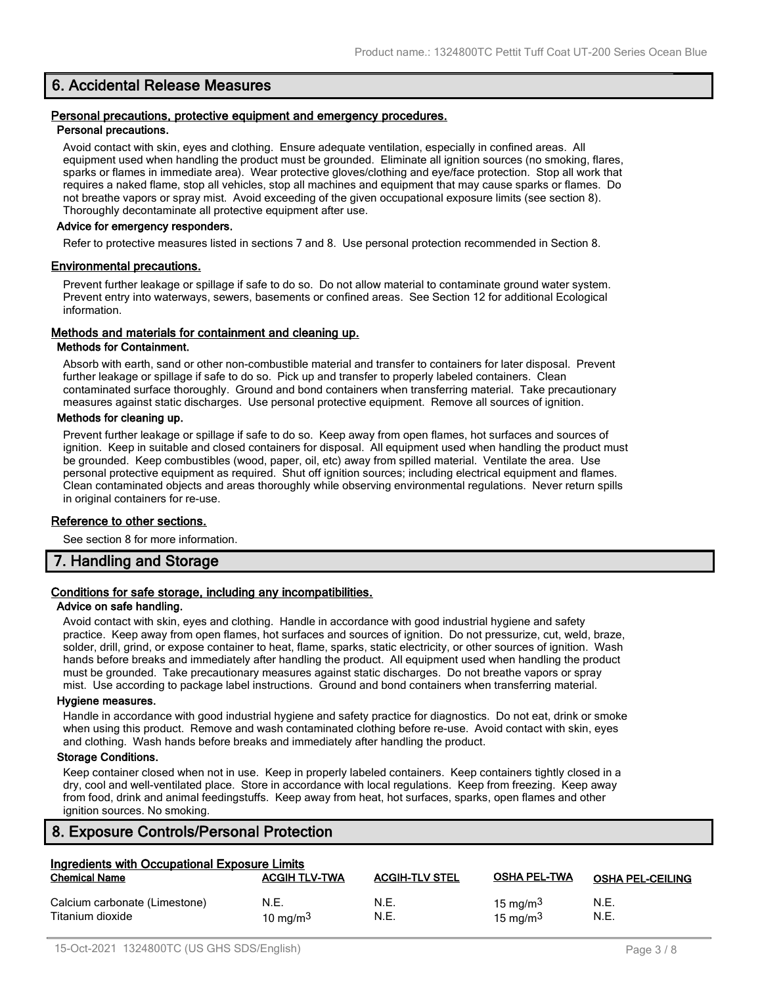# **6. Accidental Release Measures**

#### **Personal precautions, protective equipment and emergency procedures. Personal precautions.**

Avoid contact with skin, eyes and clothing. Ensure adequate ventilation, especially in confined areas. All equipment used when handling the product must be grounded. Eliminate all ignition sources (no smoking, flares, sparks or flames in immediate area). Wear protective gloves/clothing and eye/face protection. Stop all work that requires a naked flame, stop all vehicles, stop all machines and equipment that may cause sparks or flames. Do not breathe vapors or spray mist. Avoid exceeding of the given occupational exposure limits (see section 8). Thoroughly decontaminate all protective equipment after use.

#### **Advice for emergency responders.**

Refer to protective measures listed in sections 7 and 8. Use personal protection recommended in Section 8.

#### **Environmental precautions.**

Prevent further leakage or spillage if safe to do so. Do not allow material to contaminate ground water system. Prevent entry into waterways, sewers, basements or confined areas. See Section 12 for additional Ecological information.

### **Methods and materials for containment and cleaning up.**

#### **Methods for Containment.**

Absorb with earth, sand or other non-combustible material and transfer to containers for later disposal. Prevent further leakage or spillage if safe to do so. Pick up and transfer to properly labeled containers. Clean contaminated surface thoroughly. Ground and bond containers when transferring material. Take precautionary measures against static discharges. Use personal protective equipment. Remove all sources of ignition.

#### **Methods for cleaning up.**

Prevent further leakage or spillage if safe to do so. Keep away from open flames, hot surfaces and sources of ignition. Keep in suitable and closed containers for disposal. All equipment used when handling the product must be grounded. Keep combustibles (wood, paper, oil, etc) away from spilled material. Ventilate the area. Use personal protective equipment as required. Shut off ignition sources; including electrical equipment and flames. Clean contaminated objects and areas thoroughly while observing environmental regulations. Never return spills in original containers for re-use.

#### **Reference to other sections.**

See section 8 for more information.

# **7. Handling and Storage**

# **Conditions for safe storage, including any incompatibilities.**

#### **Advice on safe handling.**

Avoid contact with skin, eyes and clothing. Handle in accordance with good industrial hygiene and safety practice. Keep away from open flames, hot surfaces and sources of ignition. Do not pressurize, cut, weld, braze, solder, drill, grind, or expose container to heat, flame, sparks, static electricity, or other sources of ignition. Wash hands before breaks and immediately after handling the product. All equipment used when handling the product must be grounded. Take precautionary measures against static discharges. Do not breathe vapors or spray mist. Use according to package label instructions. Ground and bond containers when transferring material.

#### **Hygiene measures.**

Handle in accordance with good industrial hygiene and safety practice for diagnostics. Do not eat, drink or smoke when using this product. Remove and wash contaminated clothing before re-use. Avoid contact with skin, eyes and clothing. Wash hands before breaks and immediately after handling the product.

### **Storage Conditions.**

Keep container closed when not in use. Keep in properly labeled containers. Keep containers tightly closed in a dry, cool and well-ventilated place. Store in accordance with local regulations. Keep from freezing. Keep away from food, drink and animal feedingstuffs. Keep away from heat, hot surfaces, sparks, open flames and other ignition sources. No smoking.

# **8. Exposure Controls/Personal Protection**

| Ingredients with Occupational Exposure Limits     |                      |                       |                            |                         |
|---------------------------------------------------|----------------------|-----------------------|----------------------------|-------------------------|
| <b>Chemical Name</b>                              | <b>ACGIH TLV-TWA</b> | <b>ACGIH-TLV STEL</b> | <b>OSHA PEL-TWA</b>        | <b>OSHA PEL-CEILING</b> |
| Calcium carbonate (Limestone)<br>Titanium dioxide | N.E.<br>10 mg/m $3$  | N.E.<br>N.E.          | 15 mg/m $3$<br>15 mg/m $3$ | N.E.<br>N.E.            |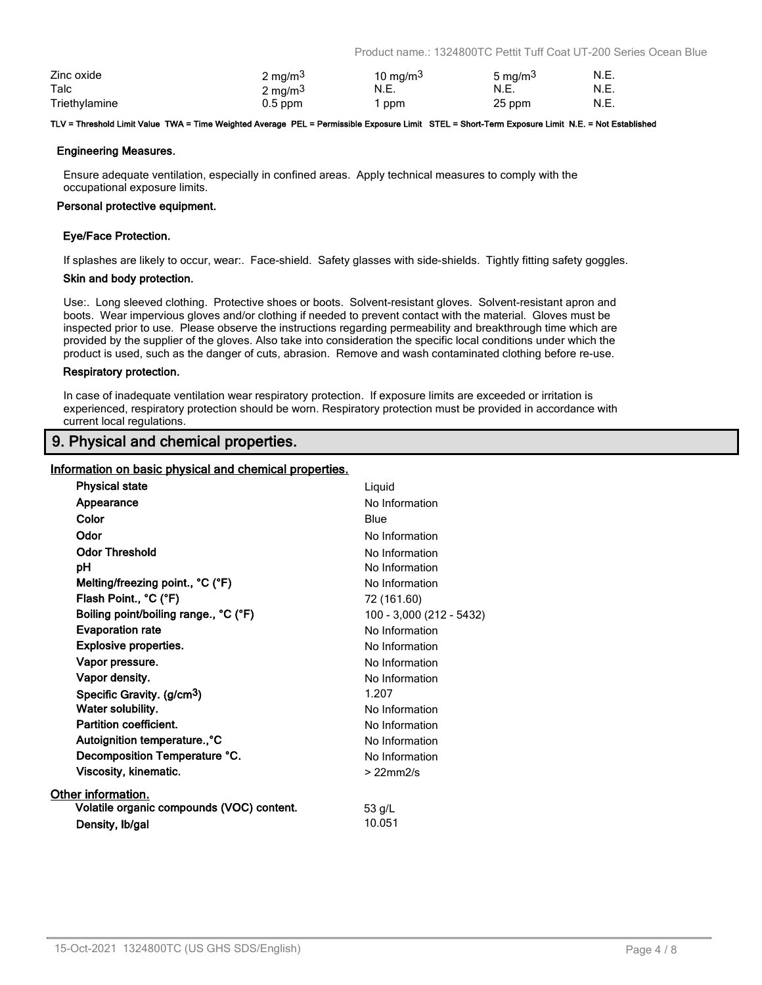Product name.: 1324800TC Pettit Tuff Coat UT-200 Series Ocean Blue

| Zinc oxide    | $2 \text{ mg/m}^3$ | 10 mg/m $3$ | 5 mg/m <sup>3</sup> | N.E. |
|---------------|--------------------|-------------|---------------------|------|
| Talc          | $2 \text{ mg/m}^3$ | N.E.        | N.E.                | N.E. |
| Triethylamine | $0.5$ ppm          | ppm         | 25 ppm              | N.E. |

#### **TLV = Threshold Limit Value TWA = Time Weighted Average PEL = Permissible Exposure Limit STEL = Short-Term Exposure Limit N.E. = Not Established**

#### **Engineering Measures.**

Ensure adequate ventilation, especially in confined areas. Apply technical measures to comply with the occupational exposure limits.

#### **Personal protective equipment.**

#### **Eye/Face Protection.**

If splashes are likely to occur, wear:. Face-shield. Safety glasses with side-shields. Tightly fitting safety goggles.

#### **Skin and body protection.**

Use:. Long sleeved clothing. Protective shoes or boots. Solvent-resistant gloves. Solvent-resistant apron and boots. Wear impervious gloves and/or clothing if needed to prevent contact with the material. Gloves must be inspected prior to use. Please observe the instructions regarding permeability and breakthrough time which are provided by the supplier of the gloves. Also take into consideration the specific local conditions under which the product is used, such as the danger of cuts, abrasion. Remove and wash contaminated clothing before re-use.

#### **Respiratory protection.**

In case of inadequate ventilation wear respiratory protection. If exposure limits are exceeded or irritation is experienced, respiratory protection should be worn. Respiratory protection must be provided in accordance with current local regulations.

# **9. Physical and chemical properties.**

### **Information on basic physical and chemical properties.**

| <b>Physical state</b>                     | Liquid                   |
|-------------------------------------------|--------------------------|
| Appearance                                | No Information           |
| Color                                     | Blue                     |
| Odor                                      | No Information           |
| <b>Odor Threshold</b>                     | No Information           |
| рH                                        | No Information           |
| Melting/freezing point., °C (°F)          | No Information           |
| Flash Point., °C (°F)                     | 72 (161.60)              |
| Boiling point/boiling range., °C (°F)     | 100 - 3,000 (212 - 5432) |
| <b>Evaporation rate</b>                   | No Information           |
| <b>Explosive properties.</b>              | No Information           |
| Vapor pressure.                           | No Information           |
| Vapor density.                            | No Information           |
| Specific Gravity. (g/cm <sup>3</sup> )    | 1.207                    |
| Water solubility.                         | No Information           |
| Partition coefficient.                    | No Information           |
| Autoignition temperature., °C             | No Information           |
| Decomposition Temperature °C.             | No Information           |
| Viscosity, kinematic.                     | $>22$ mm $2/s$           |
| Other information.                        |                          |
| Volatile organic compounds (VOC) content. | 53 g/L                   |
| Density, Ib/gal                           | 10.051                   |
|                                           |                          |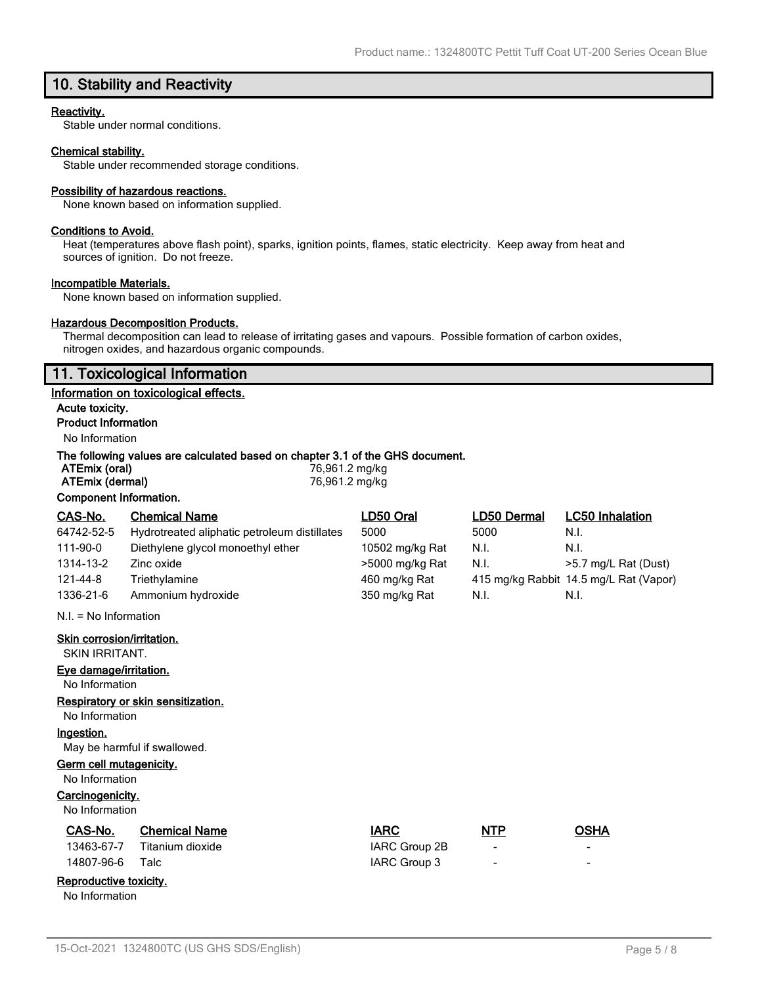# **10. Stability and Reactivity**

### **Reactivity.**

Stable under normal conditions.

#### **Chemical stability.**

Stable under recommended storage conditions.

#### **Possibility of hazardous reactions.**

None known based on information supplied.

#### **Conditions to Avoid.**

Heat (temperatures above flash point), sparks, ignition points, flames, static electricity. Keep away from heat and sources of ignition. Do not freeze.

#### **Incompatible Materials.**

None known based on information supplied.

### **Hazardous Decomposition Products.**

Thermal decomposition can lead to release of irritating gases and vapours. Possible formation of carbon oxides, nitrogen oxides, and hazardous organic compounds.

# **11. Toxicological Information**

#### **Information on toxicological effects.**

**Acute toxicity. Product Information**

# No Information

### **The following values are calculated based on chapter 3.1 of the GHS document.**

| ATEmix (oral)          | 76,961.2 mg/kg |  |
|------------------------|----------------|--|
| ATEmix (dermal)        | 76,961.2 mg/kg |  |
| Component Information. |                |  |

| CAS-No.                                                                                                                                                                      | <b>Chemical Name</b>                         | LD50 Oral       | LD50 Dermal | <b>LC50 Inhalation</b>                 |
|------------------------------------------------------------------------------------------------------------------------------------------------------------------------------|----------------------------------------------|-----------------|-------------|----------------------------------------|
| 64742-52-5                                                                                                                                                                   | Hydrotreated aliphatic petroleum distillates | 5000            | 5000        | N.I.                                   |
| 111-90-0                                                                                                                                                                     | Diethylene glycol monoethyl ether            | 10502 mg/kg Rat | N.I.        | N.I.                                   |
| 1314-13-2                                                                                                                                                                    | Zinc oxide                                   | >5000 mg/kg Rat | N.I.        | >5.7 mg/L Rat (Dust)                   |
| 121-44-8                                                                                                                                                                     | Triethylamine                                | 460 mg/kg Rat   |             | 415 mg/kg Rabbit 14.5 mg/L Rat (Vapor) |
| 1336-21-6                                                                                                                                                                    | Ammonium hydroxide                           | 350 mg/kg Rat   | N.I.        | N.I.                                   |
| $N.I. = No Information$                                                                                                                                                      |                                              |                 |             |                                        |
| Skin corrosion/irritation.<br><b>SKIN IRRITANT.</b><br>Eye damage/irritation.<br>No Information<br><b>Respiratory or skin sensitization.</b><br>No Information<br>Ingestion. |                                              |                 |             |                                        |
|                                                                                                                                                                              | May be harmful if swallowed.                 |                 |             |                                        |
| Germ cell mutagenicity.<br>No Information<br>Carcinogenicity.<br>No Information                                                                                              |                                              |                 |             |                                        |

# **CAS-No. Chemical Name IARC NTP OSHA**

|                 | 13463-67-7 Titanium dioxide | IARC Group 2B |  |
|-----------------|-----------------------------|---------------|--|
| 14807-96-6 Talc |                             | IARC Group 3  |  |

# **Reproductive toxicity.**

No Information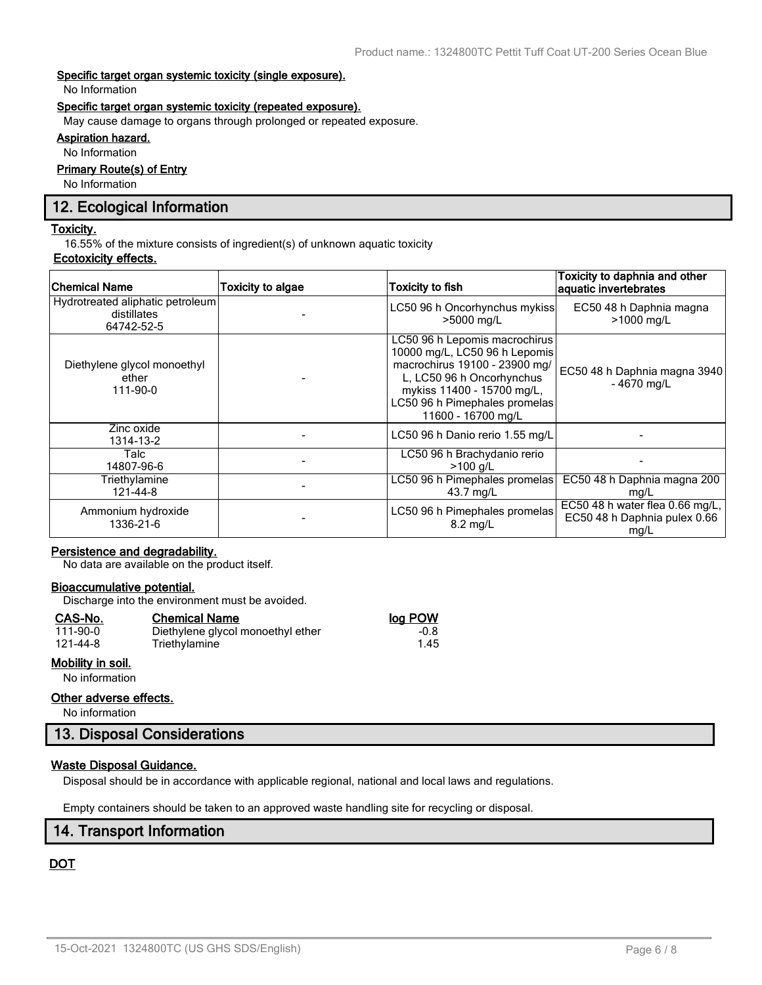### **Specific target organ systemic toxicity (single exposure).**

No Information

#### **Specific target organ systemic toxicity (repeated exposure).**

May cause damage to organs through prolonged or repeated exposure.

# **Aspiration hazard.**

No Information

# **Primary Route(s) of Entry**

No Information

# **12. Ecological Information**

#### **Toxicity.**

16.55% of the mixture consists of ingredient(s) of unknown aquatic toxicity

### **Ecotoxicity effects.**

| <b>Chemical Name</b>                                          | Toxicity to algae | <b>Toxicity to fish</b>                                                                                                                                                                                           | Toxicity to daphnia and other<br>aquatic invertebrates                  |
|---------------------------------------------------------------|-------------------|-------------------------------------------------------------------------------------------------------------------------------------------------------------------------------------------------------------------|-------------------------------------------------------------------------|
| Hydrotreated aliphatic petroleum<br>distillates<br>64742-52-5 |                   | LC50 96 h Oncorhynchus mykiss<br>>5000 mg/L                                                                                                                                                                       | EC50 48 h Daphnia magna<br>>1000 mg/L                                   |
| Diethylene glycol monoethyl<br>ether<br>111-90-0              |                   | LC50 96 h Lepomis macrochirus<br>10000 mg/L, LC50 96 h Lepomis<br>macrochirus 19100 - 23900 mg/<br>L, LC50 96 h Oncorhynchus<br>mykiss 11400 - 15700 mg/L,<br>LC50 96 h Pimephales promelas<br>11600 - 16700 mg/L | EC50 48 h Daphnia magna 3940<br>$-4670$ mg/L                            |
| Zinc oxide<br>1314-13-2                                       |                   | LC50 96 h Danio rerio 1.55 mg/L                                                                                                                                                                                   |                                                                         |
| Talc<br>14807-96-6                                            |                   | LC50 96 h Brachydanio rerio<br>$>100$ a/L                                                                                                                                                                         |                                                                         |
| Triethylamine<br>121-44-8                                     |                   | LC50 96 h Pimephales promelas<br>43.7 mg/L                                                                                                                                                                        | EC50 48 h Daphnia magna 200<br>mg/L                                     |
| Ammonium hydroxide<br>1336-21-6                               |                   | LC50 96 h Pimephales promelas<br>$8.2 \text{ ma/L}$                                                                                                                                                               | EC50 48 h water flea 0.66 mg/L,<br>EC50 48 h Daphnia pulex 0.66<br>mg/L |

# **Persistence and degradability.**

No data are available on the product itself.

### **Bioaccumulative potential.**

Discharge into the environment must be avoided.

Triethylamine

#### **CAS-No. Chemical Name log POW**

| 111-90-0 |  |
|----------|--|
| 121-44-8 |  |

# **Mobility in soil.**

No information

#### **Other adverse effects.**

No information

# **13. Disposal Considerations**

# **Waste Disposal Guidance.**

Disposal should be in accordance with applicable regional, national and local laws and regulations.

Empty containers should be taken to an approved waste handling site for recycling or disposal.

# **14. Transport Information**

# **DOT**

1.00 Diethylene glycol monoethyl ether -0.8<br>1.45 Triethylamine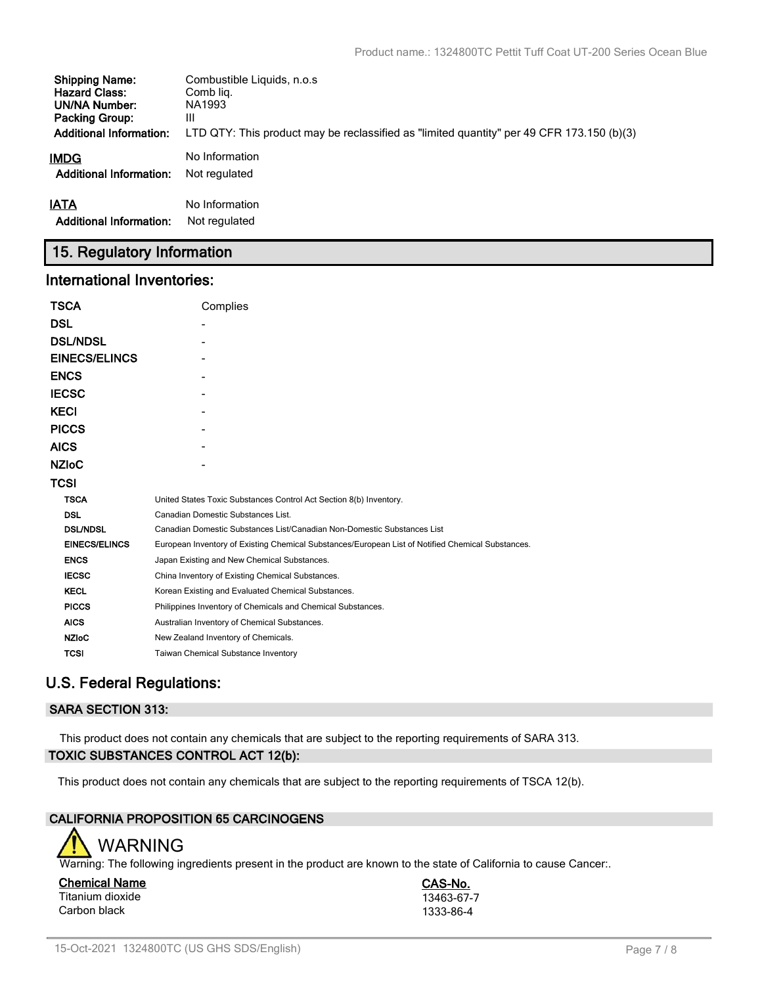| <b>Shipping Name:</b>          | Combustible Liquids, n.o.s.                                                               |
|--------------------------------|-------------------------------------------------------------------------------------------|
| <b>Hazard Class:</b>           | Comb lig.                                                                                 |
| UN/NA Number:                  | NA1993                                                                                    |
| <b>Packing Group:</b>          | Ш                                                                                         |
| <b>Additional Information:</b> | LTD QTY: This product may be reclassified as "limited quantity" per 49 CFR 173.150 (b)(3) |
| IMDG                           | No Information                                                                            |
| <b>Additional Information:</b> | Not regulated                                                                             |
| <b>IATA</b>                    | No Information                                                                            |
| <b>Additional Information:</b> | Not regulated                                                                             |

# **15. Regulatory Information**

# **International Inventories:**

| <b>TSCA</b>          | Complies                                                                                          |
|----------------------|---------------------------------------------------------------------------------------------------|
| <b>DSL</b>           |                                                                                                   |
| <b>DSL/NDSL</b>      |                                                                                                   |
| <b>EINECS/ELINCS</b> |                                                                                                   |
| <b>ENCS</b>          |                                                                                                   |
| <b>IECSC</b>         |                                                                                                   |
| <b>KECI</b>          |                                                                                                   |
| <b>PICCS</b>         |                                                                                                   |
| <b>AICS</b>          |                                                                                                   |
| <b>NZIOC</b>         |                                                                                                   |
| <b>TCSI</b>          |                                                                                                   |
| <b>TSCA</b>          | United States Toxic Substances Control Act Section 8(b) Inventory.                                |
| <b>DSL</b>           | Canadian Domestic Substances List.                                                                |
| <b>DSL/NDSL</b>      | Canadian Domestic Substances List/Canadian Non-Domestic Substances List                           |
| <b>EINECS/ELINCS</b> | European Inventory of Existing Chemical Substances/European List of Notified Chemical Substances. |
| <b>ENCS</b>          | Japan Existing and New Chemical Substances.                                                       |
| <b>IECSC</b>         | China Inventory of Existing Chemical Substances.                                                  |
| <b>KECL</b>          | Korean Existing and Evaluated Chemical Substances.                                                |
| <b>PICCS</b>         | Philippines Inventory of Chemicals and Chemical Substances.                                       |
| <b>AICS</b>          | Australian Inventory of Chemical Substances.                                                      |
| <b>NZIoC</b>         | New Zealand Inventory of Chemicals.                                                               |
| <b>TCSI</b>          | Taiwan Chemical Substance Inventory                                                               |

# **U.S. Federal Regulations:**

# **SARA SECTION 313:**

This product does not contain any chemicals that are subject to the reporting requirements of SARA 313. **TOXIC SUBSTANCES CONTROL ACT 12(b):**

This product does not contain any chemicals that are subject to the reporting requirements of TSCA 12(b).

# **CALIFORNIA PROPOSITION 65 CARCINOGENS**



Warning: The following ingredients present in the product are known to the state of California to cause Cancer:.

**Chemical Name CAS-No.** Titanium dioxide 13463-67-7<br>Carbon black 1333-86-4 Carbon black